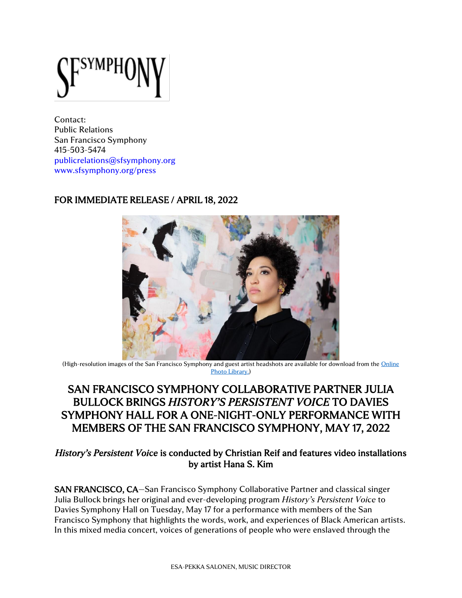Contact: Public Relations San Francisco Symphony 415-503-5474 [publicrelations@sfsymphony.org](mailto:publicrelations@sfsymphony.org) [www.sfsymphony.org/press](http://www.sfsymphony.org/press)

# FOR IMMEDIATE RELEASE / APRIL 18, 2022



(High-resolution images of the San Francisco Symphony and guest artist headshots are available for download from the [Online](https://www.sfsymphony.org/About-SFS/Press-Room/Photo-Library)  [Photo Library.](https://www.sfsymphony.org/About-SFS/Press-Room/Photo-Library))

# SAN FRANCISCO SYMPHONY COLLABORATIVE PARTNER JULIA BULLOCK BRINGS *HISTORY'S PERSISTENT VOICE* TO DAVIES SYMPHONY HALL FOR A ONE-NIGHT-ONLY PERFORMANCE WITH MEMBERS OF THE SAN FRANCISCO SYMPHONY, MAY 17, 2022

# *History's Persistent Voice* is conducted by Christian Reif and features video installations by artist Hana S. Kim

SAN FRANCISCO, CA—San Francisco Symphony Collaborative Partner and classical singer Julia Bullock brings her original and ever-developing program *History's Persistent Voice* to Davies Symphony Hall on Tuesday, May 17 for a performance with members of the San Francisco Symphony that highlights the words, work, and experiences of Black American artists. In this mixed media concert, voices of generations of people who were enslaved through the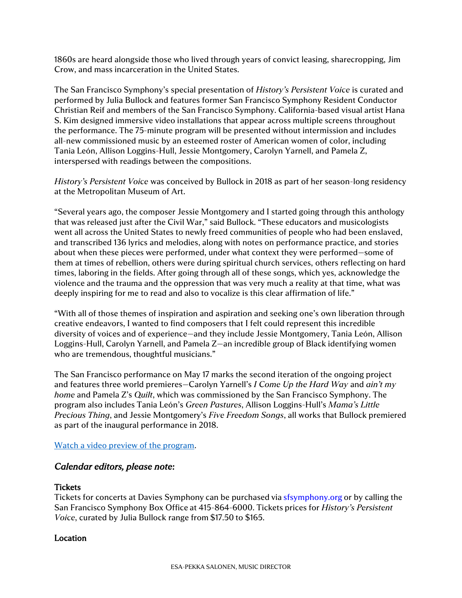1860s are heard alongside those who lived through years of convict leasing, sharecropping, Jim Crow, and mass incarceration in the United States.

The San Francisco Symphony's special presentation of *History's Persistent Voice* is curated and performed by Julia Bullock and features former San Francisco Symphony Resident Conductor Christian Reif and members of the San Francisco Symphony. California-based visual artist Hana S. Kim designed immersive video installations that appear across multiple screens throughout the performance. The 75-minute program will be presented without intermission and includes all-new commissioned music by an esteemed roster of American women of color, including Tania León, Allison Loggins-Hull, Jessie Montgomery, Carolyn Yarnell, and Pamela Z, interspersed with readings between the compositions.

*History's Persistent Voice* was conceived by Bullock in 2018 as part of her season-long residency at the Metropolitan Museum of Art.

"Several years ago, the composer Jessie Montgomery and I started going through this anthology that was released just after the Civil War," said Bullock. "These educators and musicologists went all across the United States to newly freed communities of people who had been enslaved, and transcribed 136 lyrics and melodies, along with notes on performance practice, and stories about when these pieces were performed, under what context they were performed—some of them at times of rebellion, others were during spiritual church services, others reflecting on hard times, laboring in the fields. After going through all of these songs, which yes, acknowledge the violence and the trauma and the oppression that was very much a reality at that time, what was deeply inspiring for me to read and also to vocalize is this clear affirmation of life."

"With all of those themes of inspiration and aspiration and seeking one's own liberation through creative endeavors, I wanted to find composers that I felt could represent this incredible diversity of voices and of experience—and they include Jessie Montgomery, Tania León, Allison Loggins-Hull, Carolyn Yarnell, and Pamela Z—an incredible group of Black identifying women who are tremendous, thoughtful musicians."

The San Francisco performance on May 17 marks the second iteration of the ongoing project and features three world premieres—Carolyn Yarnell's *I Come Up the Hard Way* and *ain't my home* and Pamela Z's *Quilt*, which was commissioned by the San Francisco Symphony. The program also includes Tania León's *Green Pastures*, Allison Loggins-Hull's *Mama's Little Precious Thing*, and Jessie Montgomery's *Five Freedom Songs*, all works that Bullock premiered as part of the inaugural performance in 2018.

#### [Watch a video preview of the program.](https://youtu.be/3VXDu5cz2qM)

## *Calendar editors, please note:*

#### **Tickets**

Tickets for concerts at Davies Symphony can be purchased via [sfsymphony.org](http://www.sfsymphony.org/) or by calling the San Francisco Symphony Box Office at 415-864-6000. Tickets prices for *History's Persistent Voice*, curated by Julia Bullock range from \$17.50 to \$165.

## **Location**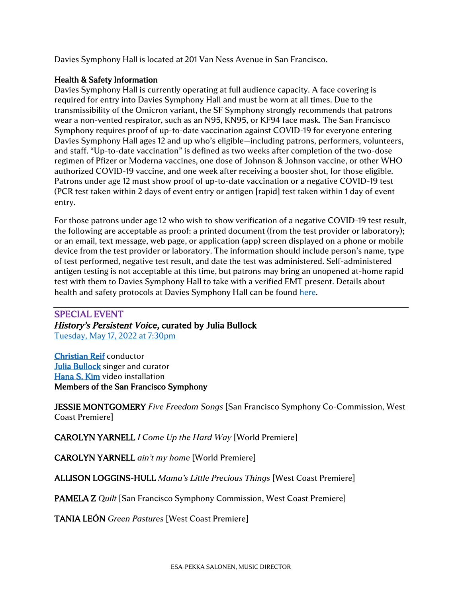Davies Symphony Hall is located at 201 Van Ness Avenue in San Francisco.

## Health & Safety Information

Davies Symphony Hall is currently operating at full audience capacity. A face covering is required for entry into Davies Symphony Hall and must be worn at all times. Due to the transmissibility of the Omicron variant, the SF Symphony strongly recommends that patrons wear a non-vented respirator, such as an N95, KN95, or KF94 face mask. The San Francisco Symphony requires proof of up-to-date vaccination against COVID-19 for everyone entering Davies Symphony Hall ages 12 and up who's eligible—including patrons, performers, volunteers, and staff. "Up-to-date vaccination" is defined as two weeks after completion of the two-dose regimen of Pfizer or Moderna vaccines, one dose of Johnson & Johnson vaccine, or other WHO authorized COVID-19 vaccine, and one week after receiving a booster shot, for those eligible. Patrons under age 12 must show proof of up-to-date vaccination or a negative COVID-19 test (PCR test taken within 2 days of event entry or antigen [rapid] test taken within 1 day of event entry.

For those patrons under age 12 who wish to show verification of a negative COVID-19 test result, the following are acceptable as proof: a printed document (from the test provider or laboratory); or an email, text message, web page, or application (app) screen displayed on a phone or mobile device from the test provider or laboratory. The information should include person's name, type of test performed, negative test result, and date the test was administered. Self-administered antigen testing is not acceptable at this time, but patrons may bring an unopened at-home rapid test with them to Davies Symphony Hall to take with a verified EMT present. Details about health and safety protocols at Davies Symphony Hall can be found [here.](https://www.sfsymphony.org/Home/Safety)

# SPECIAL EVENT *History's Persistent Voice*, curated by Julia Bullock [Tuesday, May 17, 2022 at 7:30pm](https://www.sfsymphony.org/Buy-Tickets/2021-22/Julia-Bullock-Historys-Persistent-Voice)

[Christian Reif](https://www.christianreif.eu/) conductor [Julia Bullock](https://juliabullock.com/) singer and curator [Hana S. Kim](https://hananow.com/) video installation Members of the San Francisco Symphony

JESSIE MONTGOMERY *Five Freedom Songs* [San Francisco Symphony Co-Commission, West Coast Premiere]

CAROLYN YARNELL *I Come Up the Hard Way* [World Premiere]

CAROLYN YARNELL *ain't my home* [World Premiere]

ALLISON LOGGINS-HULL *Mama's Little Precious Things* [West Coast Premiere]

PAMELA Z *Quilt* [San Francisco Symphony Commission, West Coast Premiere]

TANIA LEÓN *Green Pastures* [West Coast Premiere]